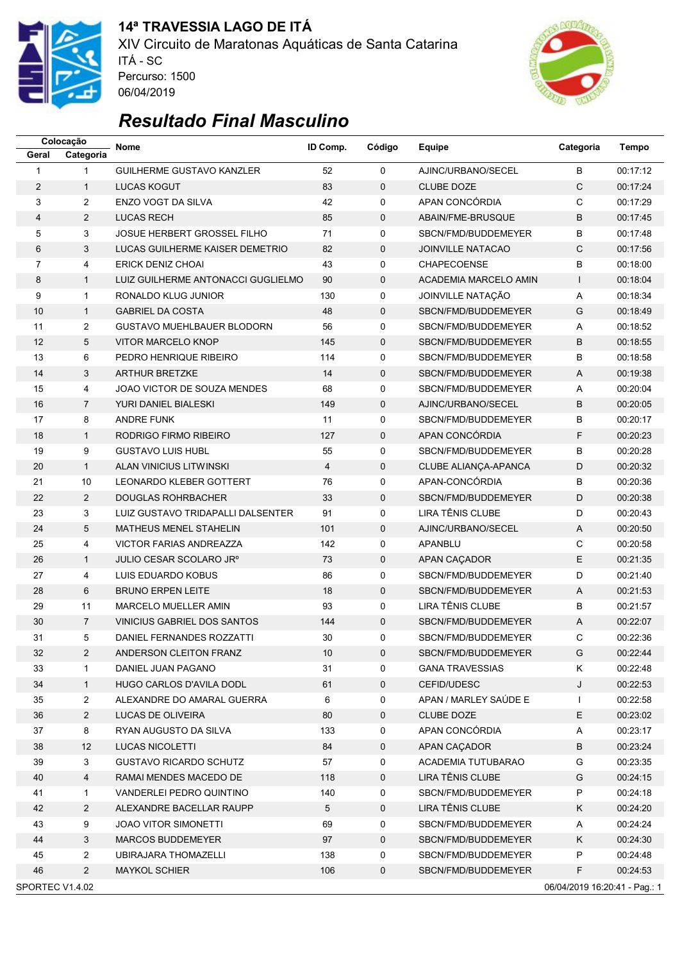

### **14ª TRAVESSIA LAGO DE ITÁ** XIV Circuito de Maratonas Aquáticas de Santa Catarina ITÁ - SC



# *Resultado Final Masculino*

Percurso: 1500 06/04/2019

|                 | Colocação      | Nome                               | ID Comp.       | Código      | Equipe                   | Categoria                     | <b>Tempo</b> |
|-----------------|----------------|------------------------------------|----------------|-------------|--------------------------|-------------------------------|--------------|
| Geral           | Categoria      |                                    |                |             |                          |                               |              |
| 1               | $\mathbf{1}$   | <b>GUILHERME GUSTAVO KANZLER</b>   | 52             | $\Omega$    | AJINC/URBANO/SECEL       | B                             | 00:17:12     |
| $\overline{2}$  | $\mathbf{1}$   | <b>LUCAS KOGUT</b>                 | 83             | $\mathbf 0$ | <b>CLUBE DOZE</b>        | C                             | 00:17:24     |
| 3               | $\overline{2}$ | ENZO VOGT DA SILVA                 | 42             | 0           | APAN CONCÓRDIA           | C                             | 00:17:29     |
| 4               | $\overline{2}$ | <b>LUCAS RECH</b>                  | 85             | $\mathbf 0$ | ABAIN/FME-BRUSQUE        | B                             | 00:17:45     |
| 5               | 3              | JOSUE HERBERT GROSSEL FILHO        | 71             | 0           | SBCN/FMD/BUDDEMEYER      | B                             | 00:17:48     |
| 6               | 3              | LUCAS GUILHERME KAISER DEMETRIO    | 82             | $\mathbf 0$ | <b>JOINVILLE NATACAO</b> | $\mathsf{C}$                  | 00:17:56     |
| 7               | 4              | <b>ERICK DENIZ CHOAI</b>           | 43             | 0           | <b>CHAPECOENSE</b>       | B                             | 00:18:00     |
| 8               | $\mathbf{1}$   | LUIZ GUILHERME ANTONACCI GUGLIELMO | 90             | $\mathbf 0$ | ACADEMIA MARCELO AMIN    | $\mathbf{I}$                  | 00:18:04     |
| 9               | $\mathbf{1}$   | RONALDO KLUG JUNIOR                | 130            | 0           | JOINVILLE NATAÇÃO        | A                             | 00:18:34     |
| 10              | $\mathbf{1}$   | <b>GABRIEL DA COSTA</b>            | 48             | $\mathbf 0$ | SBCN/FMD/BUDDEMEYER      | G                             | 00:18:49     |
| 11              | $\overline{2}$ | <b>GUSTAVO MUEHLBAUER BLODORN</b>  | 56             | 0           | SBCN/FMD/BUDDEMEYER      | A                             | 00:18:52     |
| 12              | 5              | <b>VITOR MARCELO KNOP</b>          | 145            | $\mathbf 0$ | SBCN/FMD/BUDDEMEYER      | B                             | 00:18:55     |
| 13              | 6              | PEDRO HENRIQUE RIBEIRO             | 114            | 0           | SBCN/FMD/BUDDEMEYER      | B                             | 00:18:58     |
| 14              | 3              | <b>ARTHUR BRETZKE</b>              | 14             | $\mathbf 0$ | SBCN/FMD/BUDDEMEYER      | A                             | 00:19:38     |
| 15              | 4              | JOAO VICTOR DE SOUZA MENDES        | 68             | 0           | SBCN/FMD/BUDDEMEYER      | Α                             | 00:20:04     |
| 16              | $\overline{7}$ | YURI DANIEL BIALESKI               | 149            | $\mathbf 0$ | AJINC/URBANO/SECEL       | B                             | 00:20:05     |
| 17              | 8              | <b>ANDRE FUNK</b>                  | 11             | 0           | SBCN/FMD/BUDDEMEYER      | B                             | 00:20:17     |
| 18              | $\mathbf{1}$   | RODRIGO FIRMO RIBEIRO              | 127            | $\mathbf 0$ | APAN CONCÓRDIA           | F.                            | 00:20:23     |
| 19              | 9              | <b>GUSTAVO LUIS HUBL</b>           | 55             | 0           | SBCN/FMD/BUDDEMEYER      | B                             | 00:20:28     |
| 20              | $\mathbf{1}$   | ALAN VINICIUS LITWINSKI            | $\overline{4}$ | 0           | CLUBE ALIANÇA-APANCA     | D                             | 00:20:32     |
| 21              | 10             | LEONARDO KLEBER GOTTERT            | 76             | 0           | APAN-CONCÓRDIA           | B                             | 00:20:36     |
| 22              | $\overline{2}$ | <b>DOUGLAS ROHRBACHER</b>          | 33             | $\mathbf 0$ | SBCN/FMD/BUDDEMEYER      | D                             | 00:20:38     |
| 23              | 3              |                                    | 91             | 0           | LIRA TÊNIS CLUBE         | D                             | 00:20:43     |
|                 |                | LUIZ GUSTAVO TRIDAPALLI DALSENTER  |                |             |                          |                               |              |
| 24              | 5              | MATHEUS MENEL STAHELIN             | 101            | $\mathbf 0$ | AJINC/URBANO/SECEL       | A                             | 00:20:50     |
| 25              | 4              | VICTOR FARIAS ANDREAZZA            | 142            | 0           | APANBLU                  | $\mathsf{C}$                  | 00:20:58     |
| 26              | $\mathbf{1}$   | JULIO CESAR SCOLARO JRº            | 73             | $\mathbf 0$ | APAN CAÇADOR             | E                             | 00:21:35     |
| 27              | 4              | LUIS EDUARDO KOBUS                 | 86             | 0           | SBCN/FMD/BUDDEMEYER      | D                             | 00:21:40     |
| 28              | 6              | <b>BRUNO ERPEN LEITE</b>           | 18             | $\mathbf 0$ | SBCN/FMD/BUDDEMEYER      | Α                             | 00:21:53     |
| 29              | 11             | MARCELO MUELLER AMIN               | 93             | 0           | LIRA TÊNIS CLUBE         | B                             | 00:21:57     |
| 30              | $\overline{7}$ | VINICIUS GABRIEL DOS SANTOS        | 144            | $\mathbf 0$ | SBCN/FMD/BUDDEMEYER      | A                             | 00:22:07     |
| 31              | 5              | DANIEL FERNANDES ROZZATTI          | 30             | 0           | SBCN/FMD/BUDDEMEYER      | C                             | 00:22:36     |
| 32              | 2              | ANDERSON CLEITON FRANZ             | 10             | 0           | SBCN/FMD/BUDDEMEYER      | G                             | 00:22:44     |
| 33              | 1              | DANIEL JUAN PAGANO                 | 31             | 0           | <b>GANA TRAVESSIAS</b>   | Κ                             | 00:22:48     |
| 34              | $\mathbf{1}$   | <b>HUGO CARLOS D'AVILA DODL</b>    | 61             | $\mathbf 0$ | CEFID/UDESC              | J                             | 00:22:53     |
| 35              | 2              | ALEXANDRE DO AMARAL GUERRA         | 6              | 0           | APAN / MARLEY SAÚDE E    | $\mathbf{I}$                  | 00:22:58     |
| 36              | $\overline{a}$ | LUCAS DE OLIVEIRA                  | 80             | $\mathbf 0$ | <b>CLUBE DOZE</b>        | Е                             | 00:23:02     |
| 37              | 8              | RYAN AUGUSTO DA SILVA              | 133            | 0           | APAN CONCÓRDIA           | A                             | 00:23:17     |
| 38              | 12             | <b>LUCAS NICOLETTI</b>             | 84             | 0           | APAN CAÇADOR             | B                             | 00:23:24     |
| 39              | 3              | <b>GUSTAVO RICARDO SCHUTZ</b>      | 57             | 0           | ACADEMIA TUTUBARAO       | G                             | 00:23:35     |
| 40              | 4              | RAMAI MENDES MACEDO DE             | 118            | 0           | LIRA TÊNIS CLUBE         | G                             | 00:24:15     |
| 41              | 1              | VANDERLEI PEDRO QUINTINO           | 140            | 0           | SBCN/FMD/BUDDEMEYER      | P                             | 00:24:18     |
| 42              | $\overline{2}$ | ALEXANDRE BACELLAR RAUPP           | 5              | $\mathbf 0$ | LIRA TÊNIS CLUBE         | Κ                             | 00:24:20     |
| 43              | 9              | <b>JOAO VITOR SIMONETTI</b>        | 69             | 0           | SBCN/FMD/BUDDEMEYER      | A                             | 00:24:24     |
| 44              | 3              | MARCOS BUDDEMEYER                  | 97             | 0           | SBCN/FMD/BUDDEMEYER      | Κ                             | 00:24:30     |
| 45              | 2              | UBIRAJARA THOMAZELLI               | 138            | 0           | SBCN/FMD/BUDDEMEYER      | P                             | 00:24:48     |
| 46              | $\overline{2}$ | <b>MAYKOL SCHIER</b>               | 106            | 0           | SBCN/FMD/BUDDEMEYER      | F                             | 00:24:53     |
| SPORTEC V1.4.02 |                |                                    |                |             |                          | 06/04/2019 16:20:41 - Pag.: 1 |              |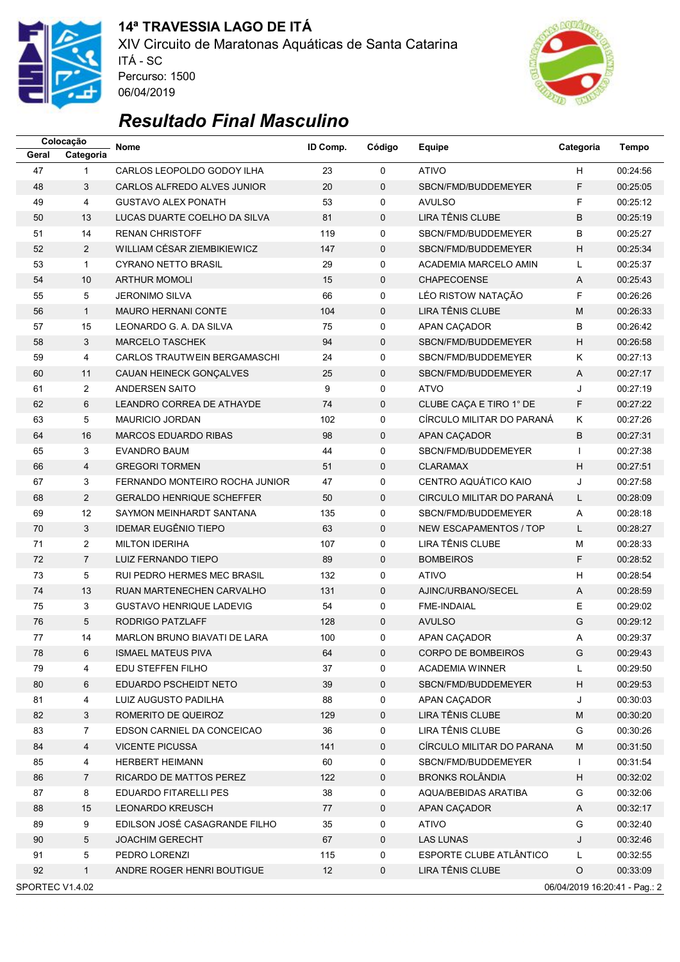

### **14ª TRAVESSIA LAGO DE ITÁ** XIV Circuito de Maratonas Aquáticas de Santa Catarina ITÁ - SC



# *Resultado Final Masculino*

Percurso: 1500 06/04/2019

|       | Colocação                                        | <b>Nome</b>                        | ID Comp. | Código      | <b>Equipe</b>                 | Categoria                 | <b>Tempo</b> |  |
|-------|--------------------------------------------------|------------------------------------|----------|-------------|-------------------------------|---------------------------|--------------|--|
| Geral | Categoria                                        |                                    |          |             |                               |                           |              |  |
| 47    | $\mathbf{1}$                                     | CARLOS LEOPOLDO GODOY ILHA         | 23       | $\mathbf 0$ | <b>ATIVO</b>                  | H                         | 00:24:56     |  |
| 48    | 3                                                | CARLOS ALFREDO ALVES JUNIOR        | 20       | 0           | SBCN/FMD/BUDDEMEYER           | F                         | 00:25:05     |  |
| 49    | 4                                                | <b>GUSTAVO ALEX PONATH</b>         | 53       | 0           | <b>AVULSO</b>                 | F                         | 00:25:12     |  |
| 50    | 13                                               | LUCAS DUARTE COELHO DA SILVA       | 81       | $\mathbf 0$ | LIRA TÊNIS CLUBE              | B                         | 00:25:19     |  |
| 51    | 14                                               | <b>RENAN CHRISTOFF</b>             | 119      | 0           | SBCN/FMD/BUDDEMEYER           | B                         | 00:25:27     |  |
| 52    | $\overline{2}$                                   | WILLIAM CÉSAR ZIEMBIKIEWICZ        | 147      | 0           | SBCN/FMD/BUDDEMEYER           | $\boldsymbol{\mathsf{H}}$ | 00:25:34     |  |
| 53    | $\mathbf{1}$                                     | <b>CYRANO NETTO BRASIL</b>         | 29       | 0           | ACADEMIA MARCELO AMIN         | L                         | 00:25:37     |  |
| 54    | 10                                               | <b>ARTHUR MOMOLI</b>               | 15       | $\mathbf 0$ | CHAPECOENSE                   | A                         | 00:25:43     |  |
| 55    | 5                                                | <b>JERONIMO SILVA</b>              | 66       | 0           | LÉO RISTOW NATAÇÃO            | F                         | 00:26:26     |  |
| 56    | $\mathbf{1}$                                     | <b>MAURO HERNANI CONTE</b>         | 104      | $\mathbf 0$ | LIRA TÊNIS CLUBE              | M                         | 00:26:33     |  |
| 57    | 15                                               | LEONARDO G. A. DA SILVA            | 75       | 0           | APAN CAÇADOR                  | B                         | 00:26:42     |  |
| 58    | $\mathbf{3}$                                     | <b>MARCELO TASCHEK</b>             | 94       | $\mathbf 0$ | SBCN/FMD/BUDDEMEYER           | H                         | 00:26:58     |  |
| 59    | 4                                                | CARLOS TRAUTWEIN BERGAMASCHI       | 24       | 0           | SBCN/FMD/BUDDEMEYER           | K                         | 00:27:13     |  |
| 60    | 11                                               | CAUAN HEINECK GONÇALVES            | 25       | $\mathbf 0$ | SBCN/FMD/BUDDEMEYER           | Α                         | 00:27:17     |  |
| 61    | $\overline{2}$                                   | <b>ANDERSEN SAITO</b>              | 9        | 0           | <b>ATVO</b>                   | J                         | 00:27:19     |  |
| 62    | 6                                                | LEANDRO CORREA DE ATHAYDE          | 74       | $\mathbf 0$ | CLUBE CAÇA E TIRO 1° DE       | F                         | 00:27:22     |  |
| 63    | 5                                                | <b>MAURICIO JORDAN</b>             | 102      | 0           | CÍRCULO MILITAR DO PARANÁ     | K                         | 00:27:26     |  |
| 64    | 16                                               | <b>MARCOS EDUARDO RIBAS</b>        | 98       | $\mathbf 0$ | APAN CAÇADOR                  | B                         | 00:27:31     |  |
| 65    | 3                                                | <b>EVANDRO BAUM</b>                | 44       | 0           | SBCN/FMD/BUDDEMEYER           | $\mathbf{I}$              | 00:27:38     |  |
| 66    | 4                                                | <b>GREGORI TORMEN</b>              | 51       | $\pmb{0}$   | <b>CLARAMAX</b>               | $\boldsymbol{\mathsf{H}}$ | 00:27:51     |  |
| 67    | 3                                                | FERNANDO MONTEIRO ROCHA JUNIOR     | 47       | 0           | CENTRO AQUÁTICO KAIO          | J                         | 00:27:58     |  |
| 68    | 2                                                | <b>GERALDO HENRIQUE SCHEFFER</b>   | 50       | $\mathbf 0$ | CIRCULO MILITAR DO PARANÁ     | L                         | 00:28:09     |  |
| 69    | 12                                               | SAYMON MEINHARDT SANTANA           | 135      | 0           | SBCN/FMD/BUDDEMEYER           | Α                         | 00:28:18     |  |
| 70    | 3                                                | <b>IDEMAR EUGÊNIO TIEPO</b>        | 63       | $\mathbf 0$ | <b>NEW ESCAPAMENTOS / TOP</b> | L                         | 00:28:27     |  |
| 71    | $\overline{2}$                                   | <b>MILTON IDERIHA</b>              | 107      | $\mathbf 0$ | LIRA TÊNIS CLUBE              | M                         | 00:28:33     |  |
| 72    | $\overline{7}$                                   | LUIZ FERNANDO TIEPO                | 89       | $\mathbf 0$ | <b>BOMBEIROS</b>              | F                         | 00:28:52     |  |
| 73    | 5                                                | <b>RUI PEDRO HERMES MEC BRASIL</b> | 132      | 0           | <b>ATIVO</b>                  | H                         | 00:28:54     |  |
| 74    | 13                                               | RUAN MARTENECHEN CARVALHO          | 131      | 0           | AJINC/URBANO/SECEL            | Α                         | 00:28:59     |  |
| 75    | 3                                                | <b>GUSTAVO HENRIQUE LADEVIG</b>    | 54       | 0           | FME-INDAIAL                   | E                         | 00:29:02     |  |
| 76    | 5                                                | RODRIGO PATZLAFF                   | 128      | $\mathbf 0$ | <b>AVULSO</b>                 | G                         | 00:29:12     |  |
| 77    | 14                                               | MARLON BRUNO BIAVATI DE LARA       | 100      | $\mathbf 0$ | APAN CAÇADOR                  | Α                         | 00:29:37     |  |
| 78    | 6                                                | <b>ISMAEL MATEUS PIVA</b>          | 64       | 0           | CORPO DE BOMBEIROS            | G                         | 00:29:43     |  |
| 79    | 4                                                | EDU STEFFEN FILHO                  | 37       | 0           | <b>ACADEMIA WINNER</b>        | L                         | 00:29:50     |  |
| 80    | 6                                                | EDUARDO PSCHEIDT NETO              | 39       | $\mathbf 0$ | SBCN/FMD/BUDDEMEYER           | $\boldsymbol{\mathsf{H}}$ | 00:29:53     |  |
| 81    | 4                                                | LUIZ AUGUSTO PADILHA               | 88       | 0           | APAN CAÇADOR                  | J                         | 00:30:03     |  |
| 82    | 3                                                | ROMERITO DE QUEIROZ                | 129      | 0           | LIRA TÊNIS CLUBE              | M                         | 00:30:20     |  |
| 83    | $\overline{7}$                                   | EDSON CARNIEL DA CONCEICAO         | 36       | 0           | LIRA TÊNIS CLUBE              | G                         | 00:30:26     |  |
| 84    | $\overline{4}$                                   | <b>VICENTE PICUSSA</b>             | 141      | $\mathbf 0$ | CÍRCULO MILITAR DO PARANA     | M                         | 00:31:50     |  |
| 85    | $\overline{4}$                                   | <b>HERBERT HEIMANN</b>             | 60       | 0           | SBCN/FMD/BUDDEMEYER           | $\mathbf{I}$              | 00:31:54     |  |
| 86    | $\overline{7}$                                   | <b>RICARDO DE MATTOS PEREZ</b>     | 122      | 0           | <b>BRONKS ROLÂNDIA</b>        | H                         | 00:32:02     |  |
| 87    | 8                                                | EDUARDO FITARELLI PES              | 38       | 0           | AQUA/BEBIDAS ARATIBA          | G                         | 00:32:06     |  |
| 88    | 15                                               | <b>LEONARDO KREUSCH</b>            | 77       | $\mathbf 0$ | APAN CAÇADOR                  | A                         | 00:32:17     |  |
| 89    | 9                                                | EDILSON JOSÉ CASAGRANDE FILHO      | 35       | 0           | <b>ATIVO</b>                  | G                         | 00:32:40     |  |
| 90    | 5                                                | <b>JOACHIM GERECHT</b>             | 67       | $\mathbf 0$ | <b>LAS LUNAS</b>              | J                         | 00:32:46     |  |
| 91    | 5                                                | PEDRO LORENZI                      | 115      | 0           | ESPORTE CLUBE ATLÂNTICO       | L                         | 00:32:55     |  |
| 92    | $\mathbf{1}$                                     | ANDRE ROGER HENRI BOUTIGUE         | 12       | $\pmb{0}$   | LIRA TÊNIS CLUBE              | $\circ$                   | 00:33:09     |  |
|       |                                                  |                                    |          |             |                               |                           |              |  |
|       | SPORTEC V1.4.02<br>06/04/2019 16:20:41 - Pag.: 2 |                                    |          |             |                               |                           |              |  |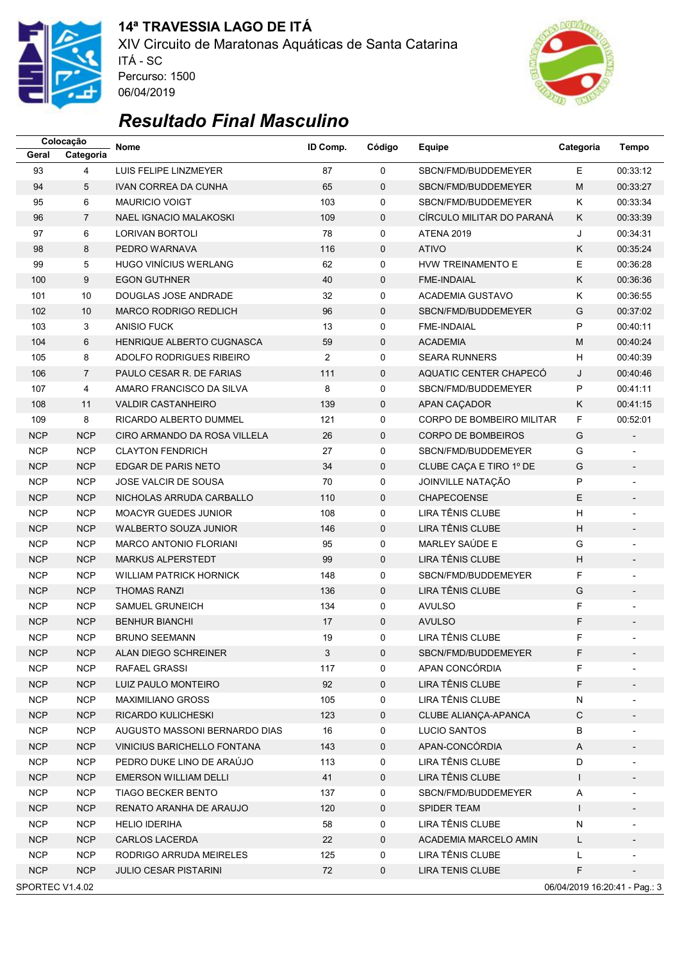

## **14ª TRAVESSIA LAGO DE ITÁ**

XIV Circuito de Maratonas Aquáticas de Santa Catarina ITÁ - SC Percurso: 1500 06/04/2019



# *Resultado Final Masculino*

|                          | Colocação                                        | <b>Nome</b>                    | ID Comp.       | Código      | Equipe                    | Categoria                 | <b>Tempo</b>             |  |  |
|--------------------------|--------------------------------------------------|--------------------------------|----------------|-------------|---------------------------|---------------------------|--------------------------|--|--|
| Geral                    | Categoria                                        |                                |                |             |                           |                           |                          |  |  |
| 93                       | $\overline{4}$                                   | LUIS FELIPE LINZMEYER          | 87             | $\mathbf 0$ | SBCN/FMD/BUDDEMEYER       | E                         | 00:33:12                 |  |  |
| 94                       | 5                                                | <b>IVAN CORREA DA CUNHA</b>    | 65             | $\mathbf 0$ | SBCN/FMD/BUDDEMEYER       | M                         | 00:33:27                 |  |  |
| 95                       | 6                                                | <b>MAURICIO VOIGT</b>          | 103            | 0           | SBCN/FMD/BUDDEMEYER       | K                         | 00:33:34                 |  |  |
| 96                       | $\overline{7}$                                   | <b>NAEL IGNACIO MALAKOSKI</b>  | 109            | $\mathbf 0$ | CIRCULO MILITAR DO PARANÁ | K                         | 00:33:39                 |  |  |
| 97                       | 6                                                | <b>LORIVAN BORTOLI</b>         | 78             | 0           | <b>ATENA 2019</b>         | J                         | 00:34:31                 |  |  |
| 98                       | 8                                                | PEDRO WARNAVA                  | 116            | 0           | <b>ATIVO</b>              | Κ                         | 00:35:24                 |  |  |
| 99                       | 5                                                | <b>HUGO VINÍCIUS WERLANG</b>   | 62             | 0           | HVW TREINAMENTO E         | E                         | 00:36:28                 |  |  |
| 100                      | 9                                                | <b>EGON GUTHNER</b>            | 40             | $\mathbf 0$ | <b>FME-INDAIAL</b>        | K                         | 00:36:36                 |  |  |
| 101                      | 10                                               | DOUGLAS JOSE ANDRADE           | 32             | 0           | <b>ACADEMIA GUSTAVO</b>   | Κ                         | 00:36:55                 |  |  |
| 102                      | 10                                               | <b>MARCO RODRIGO REDLICH</b>   | 96             | $\mathbf 0$ | SBCN/FMD/BUDDEMEYER       | G                         | 00:37:02                 |  |  |
| 103                      | 3                                                | <b>ANISIO FUCK</b>             | 13             | 0           | FME-INDAIAL               | P                         | 00:40:11                 |  |  |
| 104                      | 6                                                | HENRIQUE ALBERTO CUGNASCA      | 59             | $\mathbf 0$ | <b>ACADEMIA</b>           | M                         | 00:40:24                 |  |  |
| 105                      | 8                                                | ADOLFO RODRIGUES RIBEIRO       | $\overline{2}$ | 0           | <b>SEARA RUNNERS</b>      | H                         | 00:40:39                 |  |  |
| 106                      | $\overline{7}$                                   | PAULO CESAR R. DE FARIAS       | 111            | $\mathbf 0$ | AQUATIC CENTER CHAPECÓ    | J                         | 00:40:46                 |  |  |
| 107                      | 4                                                | AMARO FRANCISCO DA SILVA       | 8              | 0           | SBCN/FMD/BUDDEMEYER       | P                         | 00:41:11                 |  |  |
| 108                      | 11                                               | <b>VALDIR CASTANHEIRO</b>      | 139            | $\mathbf 0$ | APAN CAÇADOR              | K                         | 00:41:15                 |  |  |
| 109                      | 8                                                | RICARDO ALBERTO DUMMEL         | 121            | 0           | CORPO DE BOMBEIRO MILITAR | F                         | 00:52:01                 |  |  |
| <b>NCP</b>               | <b>NCP</b>                                       | CIRO ARMANDO DA ROSA VILLELA   | 26             | $\mathbf 0$ | <b>CORPO DE BOMBEIROS</b> | G                         | $\overline{\phantom{a}}$ |  |  |
| <b>NCP</b>               | <b>NCP</b>                                       | <b>CLAYTON FENDRICH</b>        | 27             | 0           | SBCN/FMD/BUDDEMEYER       | G                         |                          |  |  |
| <b>NCP</b>               | <b>NCP</b>                                       | EDGAR DE PARIS NETO            | 34             | $\pmb{0}$   | CLUBE CACA E TIRO 1º DE   | G                         |                          |  |  |
| <b>NCP</b>               | <b>NCP</b>                                       | JOSE VALCIR DE SOUSA           | 70             | 0           | JOINVILLE NATAÇÃO         | P                         |                          |  |  |
| <b>NCP</b>               | <b>NCP</b>                                       | NICHOLAS ARRUDA CARBALLO       | 110            | $\mathbf 0$ | CHAPECOENSE               | E                         |                          |  |  |
| <b>NCP</b>               | <b>NCP</b>                                       | <b>MOACYR GUEDES JUNIOR</b>    | 108            | 0           | LIRA TÊNIS CLUBE          | н                         |                          |  |  |
| <b>NCP</b>               | <b>NCP</b>                                       | <b>WALBERTO SOUZA JUNIOR</b>   | 146            | $\mathbf 0$ | LIRA TÊNIS CLUBE          | $\boldsymbol{\mathsf{H}}$ |                          |  |  |
| <b>NCP</b>               | <b>NCP</b>                                       | <b>MARCO ANTONIO FLORIANI</b>  | 95             | $\mathbf 0$ | MARLEY SAÚDE E            | G                         |                          |  |  |
| <b>NCP</b>               | <b>NCP</b>                                       | <b>MARKUS ALPERSTEDT</b>       | 99             | $\mathbf 0$ | LIRA TÊNIS CLUBE          | $\boldsymbol{\mathsf{H}}$ | $\overline{\phantom{a}}$ |  |  |
| <b>NCP</b>               | <b>NCP</b>                                       | <b>WILLIAM PATRICK HORNICK</b> | 148            | 0           | SBCN/FMD/BUDDEMEYER       | F                         |                          |  |  |
| <b>NCP</b>               | <b>NCP</b>                                       | <b>THOMAS RANZI</b>            | 136            | 0           | LIRA TÊNIS CLUBE          | G                         |                          |  |  |
| <b>NCP</b>               | <b>NCP</b>                                       | SAMUEL GRUNEICH                | 134            | 0           | <b>AVULSO</b>             | F.                        | $\overline{a}$           |  |  |
| <b>NCP</b>               | <b>NCP</b>                                       | <b>BENHUR BIANCHI</b>          | 17             | $\mathbf 0$ | <b>AVULSO</b>             | F                         |                          |  |  |
| <b>NCP</b>               | <b>NCP</b>                                       | <b>BRUNO SEEMANN</b>           | 19             | $\mathbf 0$ | LIRA TÊNIS CLUBE          | F                         |                          |  |  |
|                          |                                                  | ALAN DIEGO SCHREINER           |                |             | SBCN/FMD/BUDDEMEYER       |                           |                          |  |  |
| <b>NCP</b><br><b>NCP</b> | <b>NCP</b><br><b>NCP</b>                         | RAFAEL GRASSI                  | З<br>117       | 0<br>0      | APAN CONCÓRDIA            | F.<br>F                   |                          |  |  |
| <b>NCP</b>               | <b>NCP</b>                                       | LUIZ PAULO MONTEIRO            | 92             | $\mathbf 0$ | LIRA TÊNIS CLUBE          | F                         |                          |  |  |
|                          |                                                  |                                |                |             | LIRA TÊNIS CLUBE          |                           | $\overline{\phantom{a}}$ |  |  |
| <b>NCP</b>               | <b>NCP</b>                                       | <b>MAXIMILIANO GROSS</b>       | 105            | 0           |                           | ${\sf N}$                 |                          |  |  |
| <b>NCP</b>               | <b>NCP</b>                                       | RICARDO KULICHESKI             | 123            | 0           | CLUBE ALIANÇA-APANCA      | C                         |                          |  |  |
| <b>NCP</b>               | <b>NCP</b>                                       | AUGUSTO MASSONI BERNARDO DIAS  | 16             | 0           | <b>LUCIO SANTOS</b>       | В                         |                          |  |  |
| <b>NCP</b>               | <b>NCP</b>                                       | VINICIUS BARICHELLO FONTANA    | 143            | $\mathbf 0$ | APAN-CONCÓRDIA            | A                         |                          |  |  |
| <b>NCP</b>               | <b>NCP</b>                                       | PEDRO DUKE LINO DE ARAÚJO      | 113            | 0           | LIRA TÊNIS CLUBE          | D                         |                          |  |  |
| <b>NCP</b>               | <b>NCP</b>                                       | <b>EMERSON WILLIAM DELLI</b>   | 41             | 0           | LIRA TÊNIS CLUBE          | $\mathsf{I}$              | $\overline{\phantom{a}}$ |  |  |
| <b>NCP</b>               | <b>NCP</b>                                       | <b>TIAGO BECKER BENTO</b>      | 137            | 0           | SBCN/FMD/BUDDEMEYER       | Α                         |                          |  |  |
| <b>NCP</b>               | <b>NCP</b>                                       | RENATO ARANHA DE ARAUJO        | 120            | $\mathbf 0$ | <b>SPIDER TEAM</b>        | T                         |                          |  |  |
| <b>NCP</b>               | <b>NCP</b>                                       | <b>HELIO IDERIHA</b>           | 58             | 0           | LIRA TÊNIS CLUBE          | N                         |                          |  |  |
| <b>NCP</b>               | <b>NCP</b>                                       | <b>CARLOS LACERDA</b>          | 22             | $\mathbf 0$ | ACADEMIA MARCELO AMIN     | L                         |                          |  |  |
| <b>NCP</b>               | <b>NCP</b>                                       | RODRIGO ARRUDA MEIRELES        | 125            | 0           | LIRA TÊNIS CLUBE          | Г                         |                          |  |  |
| <b>NCP</b>               | <b>NCP</b>                                       | <b>JULIO CESAR PISTARINI</b>   | 72             | $\mathbf 0$ | LIRA TENIS CLUBE          | F                         |                          |  |  |
|                          | SPORTEC V1.4.02<br>06/04/2019 16:20:41 - Pag.: 3 |                                |                |             |                           |                           |                          |  |  |